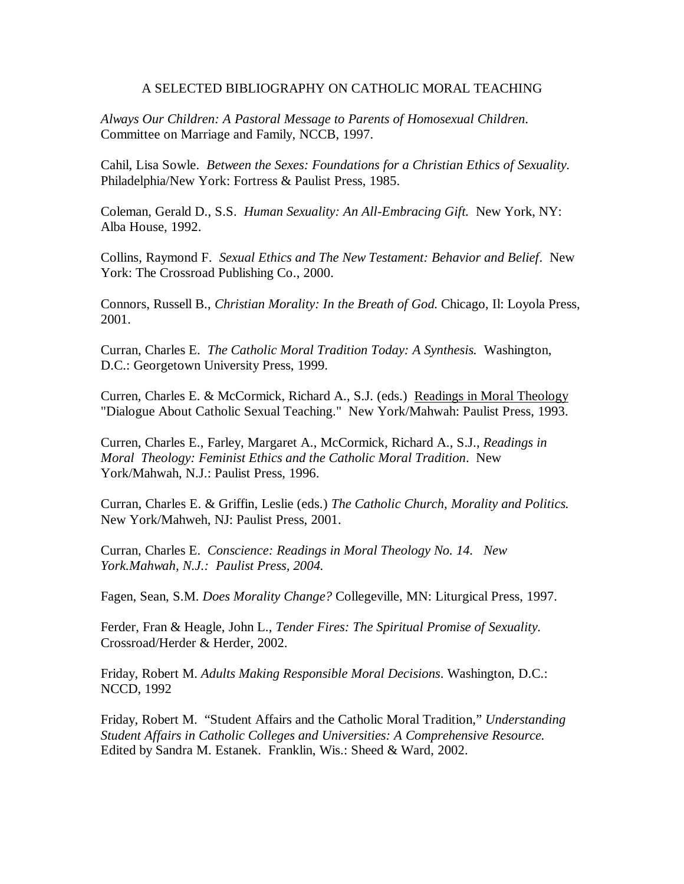## A SELECTED BIBLIOGRAPHY ON CATHOLIC MORAL TEACHING

*Always Our Children: A Pastoral Message to Parents of Homosexual Children*. Committee on Marriage and Family, NCCB, 1997.

Cahil, Lisa Sowle. *Between the Sexes: Foundations for a Christian Ethics of Sexuality*. Philadelphia/New York: Fortress & Paulist Press, 1985.

Coleman, Gerald D., S.S. *Human Sexuality: An All-Embracing Gift.* New York, NY: Alba House, 1992.

Collins, Raymond F. *Sexual Ethics and The New Testament: Behavior and Belief*. New York: The Crossroad Publishing Co., 2000.

Connors, Russell B., *Christian Morality: In the Breath of God.* Chicago, Il: Loyola Press, 2001.

Curran, Charles E. *The Catholic Moral Tradition Today: A Synthesis.* Washington, D.C.: Georgetown University Press, 1999.

Curren, Charles E. & McCormick, Richard A., S.J. (eds.) Readings in Moral Theology "Dialogue About Catholic Sexual Teaching." New York/Mahwah: Paulist Press, 1993.

Curren, Charles E., Farley, Margaret A., McCormick, Richard A., S.J., *Readings in Moral Theology: Feminist Ethics and the Catholic Moral Tradition*. New York/Mahwah, N.J.: Paulist Press, 1996.

Curran, Charles E. & Griffin, Leslie (eds.) *The Catholic Church, Morality and Politics.* New York/Mahweh, NJ: Paulist Press, 2001.

Curran, Charles E. *Conscience: Readings in Moral Theology No. 14. New York.Mahwah, N.J.: Paulist Press, 2004.*

Fagen, Sean, S.M. *Does Morality Change?* Collegeville, MN: Liturgical Press, 1997.

Ferder, Fran & Heagle, John L., *Tender Fires: The Spiritual Promise of Sexuality.* Crossroad/Herder & Herder, 2002.

Friday, Robert M. *Adults Making Responsible Moral Decisions*. Washington, D.C.: NCCD, 1992

Friday, Robert M. "Student Affairs and the Catholic Moral Tradition," *Understanding Student Affairs in Catholic Colleges and Universities: A Comprehensive Resource.*  Edited by Sandra M. Estanek. Franklin, Wis.: Sheed & Ward, 2002.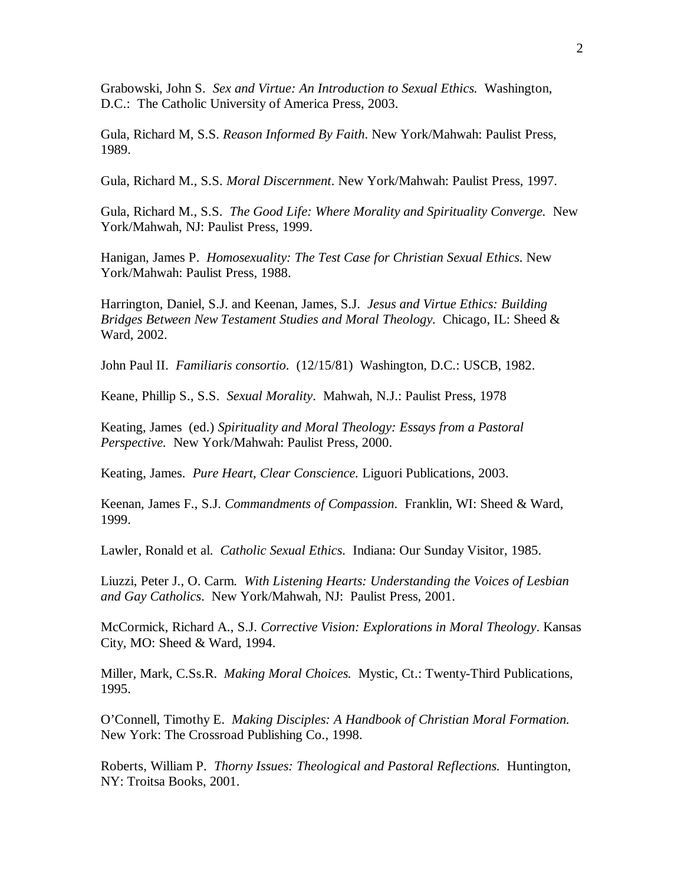Grabowski, John S. *Sex and Virtue: An Introduction to Sexual Ethics.* Washington, D.C.: The Catholic University of America Press, 2003.

Gula, Richard M, S.S. *Reason Informed By Faith*. New York/Mahwah: Paulist Press, 1989.

Gula, Richard M., S.S. *Moral Discernment*. New York/Mahwah: Paulist Press, 1997.

Gula, Richard M., S.S. *The Good Life: Where Morality and Spirituality Converge.* New York/Mahwah, NJ: Paulist Press, 1999.

Hanigan, James P. *Homosexuality: The Test Case for Christian Sexual Ethics*. New York/Mahwah: Paulist Press, 1988.

Harrington, Daniel, S.J. and Keenan, James, S.J. *Jesus and Virtue Ethics: Building Bridges Between New Testament Studies and Moral Theology.* Chicago, IL: Sheed & Ward, 2002.

John Paul II. *Familiaris consortio*. (12/15/81) Washington, D.C.: USCB, 1982.

Keane, Phillip S., S.S. *Sexual Morality*. Mahwah, N.J.: Paulist Press, 1978

Keating, James (ed.) *Spirituality and Moral Theology: Essays from a Pastoral Perspective.* New York/Mahwah: Paulist Press, 2000.

Keating, James. *Pure Heart, Clear Conscience.* Liguori Publications, 2003.

Keenan, James F., S.J. *Commandments of Compassion*. Franklin, WI: Sheed & Ward, 1999.

Lawler, Ronald et al. *Catholic Sexual Ethics*. Indiana: Our Sunday Visitor, 1985.

Liuzzi, Peter J., O. Carm. *With Listening Hearts: Understanding the Voices of Lesbian and Gay Catholics*. New York/Mahwah, NJ: Paulist Press, 2001.

McCormick, Richard A., S.J. *Corrective Vision: Explorations in Moral Theology*. Kansas City, MO: Sheed & Ward, 1994.

Miller, Mark, C.Ss.R. *Making Moral Choices.* Mystic, Ct.: Twenty-Third Publications, 1995.

O'Connell, Timothy E. *Making Disciples: A Handbook of Christian Moral Formation.*  New York: The Crossroad Publishing Co., 1998.

Roberts, William P. *Thorny Issues: Theological and Pastoral Reflections.* Huntington, NY: Troitsa Books, 2001.